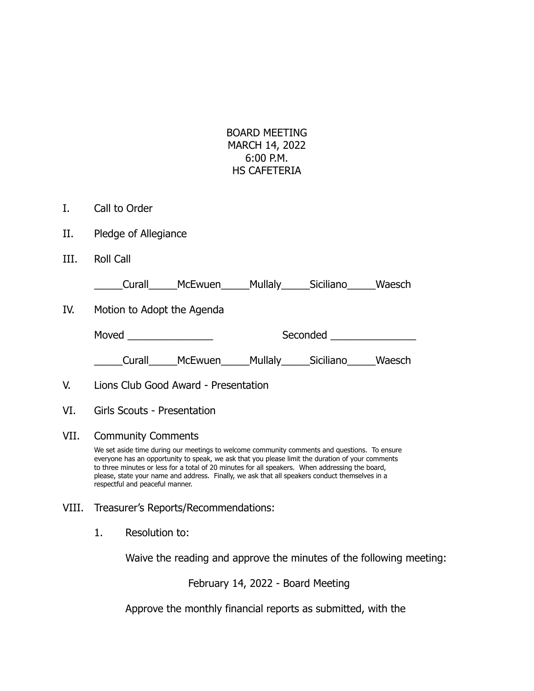| BOARD MEETING  |  |  |  |  |
|----------------|--|--|--|--|
| MARCH 14, 2022 |  |  |  |  |
| 6:00 P.M.      |  |  |  |  |
| HS CAFETERIA   |  |  |  |  |

- I. Call to Order
- II. Pledge of Allegiance
- III. Roll Call

| Curall | McEwuen | <b>Mullaly</b> | Siciliano | Waesch |
|--------|---------|----------------|-----------|--------|
|        |         |                |           |        |

IV. Motion to Adopt the Agenda

| Moved | Seconded |
|-------|----------|
|       |          |

Curall McEwuen Mullaly Siciliano Waesch

- V. Lions Club Good Award Presentation
- VI. Girls Scouts Presentation

## VII. Community Comments

We set aside time during our meetings to welcome community comments and questions. To ensure everyone has an opportunity to speak, we ask that you please limit the duration of your comments to three minutes or less for a total of 20 minutes for all speakers. When addressing the board, please, state your name and address. Finally, we ask that all speakers conduct themselves in a respectful and peaceful manner.

- VIII. Treasurer's Reports/Recommendations:
	- 1. Resolution to:

Waive the reading and approve the minutes of the following meeting:

February 14, 2022 - Board Meeting

Approve the monthly financial reports as submitted, with the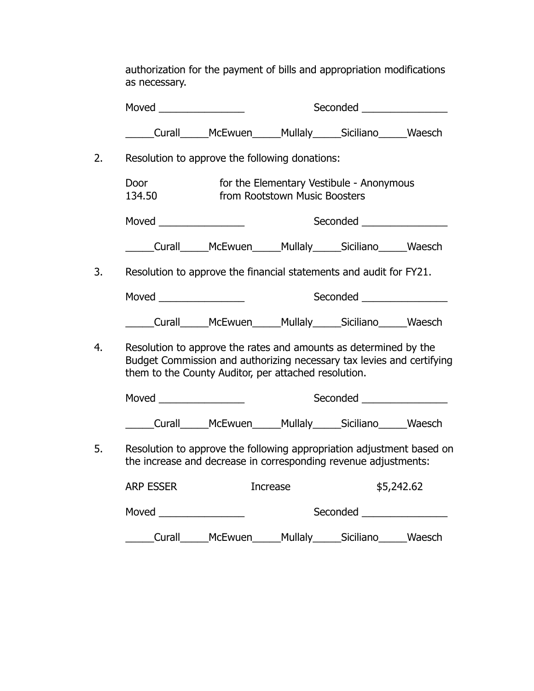authorization for the payment of bills and appropriation modifications as necessary.

|    |                  |                                                                                                                                                                                                   |                               | Seconded ________________                                                                                                                                                                                                      |            |
|----|------------------|---------------------------------------------------------------------------------------------------------------------------------------------------------------------------------------------------|-------------------------------|--------------------------------------------------------------------------------------------------------------------------------------------------------------------------------------------------------------------------------|------------|
|    |                  | Curall______McEwuen______Mullaly______Siciliano_______Waesch                                                                                                                                      |                               |                                                                                                                                                                                                                                |            |
| 2. |                  | Resolution to approve the following donations:                                                                                                                                                    |                               |                                                                                                                                                                                                                                |            |
|    | Door<br>134.50   |                                                                                                                                                                                                   | from Rootstown Music Boosters | for the Elementary Vestibule - Anonymous                                                                                                                                                                                       |            |
|    |                  |                                                                                                                                                                                                   |                               |                                                                                                                                                                                                                                |            |
|    |                  | Curall______McEwuen______Mullaly______Siciliano_______Waesch                                                                                                                                      |                               |                                                                                                                                                                                                                                |            |
| 3. |                  | Resolution to approve the financial statements and audit for FY21.                                                                                                                                |                               |                                                                                                                                                                                                                                |            |
|    |                  |                                                                                                                                                                                                   |                               | Seconded ________________                                                                                                                                                                                                      |            |
|    |                  | _____Curall______McEwuen______Mullaly______Siciliano______Waesch                                                                                                                                  |                               |                                                                                                                                                                                                                                |            |
| 4. |                  | Resolution to approve the rates and amounts as determined by the<br>Budget Commission and authorizing necessary tax levies and certifying<br>them to the County Auditor, per attached resolution. |                               |                                                                                                                                                                                                                                |            |
|    | Moved $\qquad$   |                                                                                                                                                                                                   |                               | Seconded ___________________                                                                                                                                                                                                   |            |
|    |                  | _____Curall______McEwuen______Mullaly______Siciliano______Waesch                                                                                                                                  |                               |                                                                                                                                                                                                                                |            |
| 5. |                  | Resolution to approve the following appropriation adjustment based on<br>the increase and decrease in corresponding revenue adjustments:                                                          |                               |                                                                                                                                                                                                                                |            |
|    | <b>ARP ESSER</b> |                                                                                                                                                                                                   | <b>Increase</b>               |                                                                                                                                                                                                                                | \$5,242.62 |
|    |                  |                                                                                                                                                                                                   |                               | Seconded and the second second seconds are all the second seconds of the second second seconds are all the seconds of the second second seconds are all the second seconds are all the second seconds are all the second secon |            |
|    |                  | _Curall______McEwuen______Mullaly______Siciliano______Waesch                                                                                                                                      |                               |                                                                                                                                                                                                                                |            |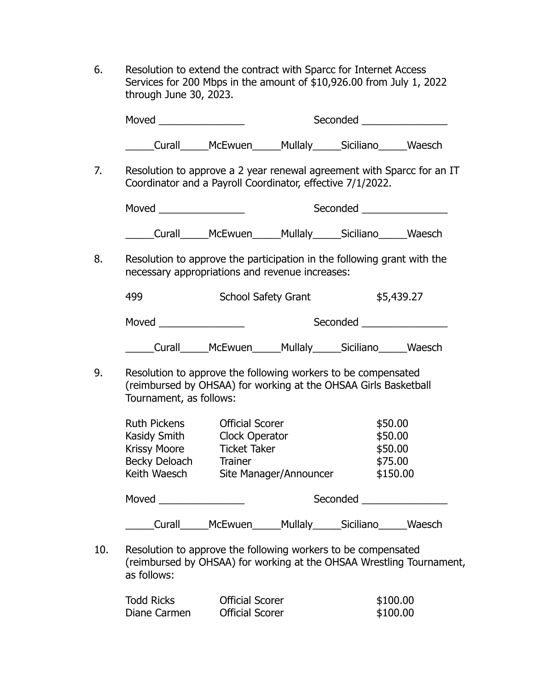6. Resolution to extend the contract with Sparcc for Internet Access Services for 200 Mbps in the amount of \$10,926.00 from July 1, 2022 through June 30, 2023.

|                                                                                                                                      |                                                                 |                        | Seconded and the second second seconds are also been as a second second second second second second second second second second second second second second second second second second second second second second second sec |            |
|--------------------------------------------------------------------------------------------------------------------------------------|-----------------------------------------------------------------|------------------------|--------------------------------------------------------------------------------------------------------------------------------------------------------------------------------------------------------------------------------|------------|
|                                                                                                                                      | ____Curall______McEwuen______Mullaly______Siciliano______Waesch |                        |                                                                                                                                                                                                                                |            |
| Resolution to approve a 2 year renewal agreement with Sparcc for an IT<br>Coordinator and a Payroll Coordinator, effective 7/1/2022. |                                                                 |                        |                                                                                                                                                                                                                                |            |
|                                                                                                                                      |                                                                 |                        | Seconded _________________                                                                                                                                                                                                     |            |
| ______Curall______McEwuen______Mullaly______Siciliano______Waesch                                                                    |                                                                 |                        |                                                                                                                                                                                                                                |            |
| Resolution to approve the participation in the following grant with the<br>necessary appropriations and revenue increases:           |                                                                 |                        |                                                                                                                                                                                                                                |            |
| 499                                                                                                                                  | <b>School Safety Grant</b>                                      |                        |                                                                                                                                                                                                                                | \$5,439.27 |
| Moved ________________                                                                                                               |                                                                 |                        | Seconded and the second second seconds are all the second seconds of the second second seconds are all the second seconds are all the seconds of the second second second second second second second second second second sec |            |
|                                                                                                                                      | Curall______McEwuen______Mullaly______Siciliano______Waesch     |                        |                                                                                                                                                                                                                                |            |
|                                                                                                                                      | Resolution to approve the following workers to be compensated   |                        |                                                                                                                                                                                                                                |            |
| (reimbursed by OHSAA) for working at the OHSAA Girls Basketball<br>Tournament, as follows:                                           |                                                                 |                        |                                                                                                                                                                                                                                |            |
| <b>Ruth Pickens</b>                                                                                                                  | <b>Official Scorer</b>                                          |                        | \$50.00                                                                                                                                                                                                                        |            |
| Kasidy Smith Clock Operator                                                                                                          |                                                                 |                        |                                                                                                                                                                                                                                | \$50.00    |
| <b>Krissy Moore</b>                                                                                                                  | <b>Ticket Taker</b>                                             |                        |                                                                                                                                                                                                                                | \$50.00    |
| Becky Deloach                                                                                                                        | <b>Trainer</b>                                                  |                        | \$75.00                                                                                                                                                                                                                        |            |
| Keith Waesch                                                                                                                         |                                                                 | Site Manager/Announcer |                                                                                                                                                                                                                                | \$150.00   |
| Moved <b>Moved Moved</b>                                                                                                             |                                                                 |                        |                                                                                                                                                                                                                                |            |

10. Resolution to approve the following workers to be compensated (reimbursed by OHSAA) for working at the OHSAA Wrestling Tournament, as follows:

| <b>Todd Ricks</b> | <b>Official Scorer</b> | \$100.00 |
|-------------------|------------------------|----------|
| Diane Carmen      | <b>Official Scorer</b> | \$100.00 |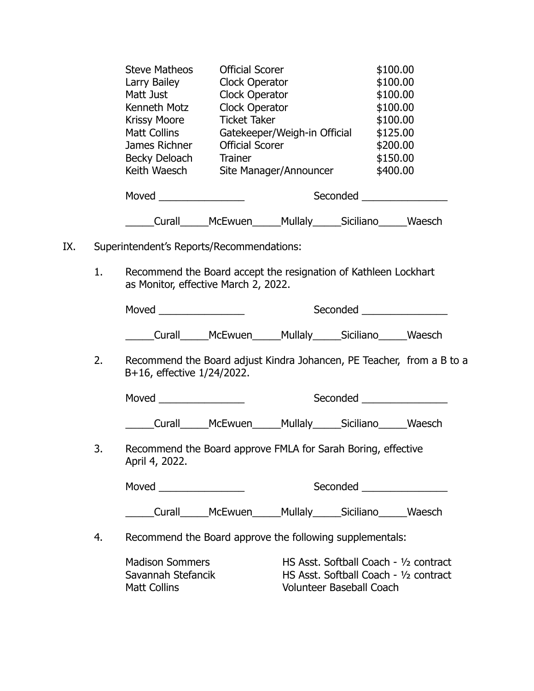|     |    | <b>Steve Matheos</b><br>Larry Bailey<br>Matt Just<br>Kenneth Motz<br><b>Krissy Moore</b><br>Matt Collins<br>James Richner<br>Becky Deloach Trainer<br>Keith Waesch | <b>Official Scorer</b><br>Clock Operator<br>Clock Operator<br>Clock Operator<br><b>Ticket Taker</b><br><b>Official Scorer</b> | Gatekeeper/Weigh-in Official<br>Site Manager/Announcer |                                                                                                                     | \$100.00<br>\$100.00<br>\$100.00<br>\$100.00<br>\$100.00<br>\$125.00<br>\$200.00<br>\$150.00<br>\$400.00 |  |
|-----|----|--------------------------------------------------------------------------------------------------------------------------------------------------------------------|-------------------------------------------------------------------------------------------------------------------------------|--------------------------------------------------------|---------------------------------------------------------------------------------------------------------------------|----------------------------------------------------------------------------------------------------------|--|
|     |    |                                                                                                                                                                    |                                                                                                                               |                                                        | Seconded __________________                                                                                         |                                                                                                          |  |
|     |    | _____Curall______McEwuen______Mullaly______Siciliano______Waesch                                                                                                   |                                                                                                                               |                                                        |                                                                                                                     |                                                                                                          |  |
| IX. |    | Superintendent's Reports/Recommendations:                                                                                                                          |                                                                                                                               |                                                        |                                                                                                                     |                                                                                                          |  |
|     | 1. | Recommend the Board accept the resignation of Kathleen Lockhart<br>as Monitor, effective March 2, 2022.                                                            |                                                                                                                               |                                                        |                                                                                                                     |                                                                                                          |  |
|     |    |                                                                                                                                                                    |                                                                                                                               |                                                        |                                                                                                                     |                                                                                                          |  |
|     |    | ____Curall______McEwuen______Mullaly______Siciliano______Waesch                                                                                                    |                                                                                                                               |                                                        |                                                                                                                     |                                                                                                          |  |
|     | 2. | Recommend the Board adjust Kindra Johancen, PE Teacher, from a B to a<br>B+16, effective 1/24/2022.                                                                |                                                                                                                               |                                                        |                                                                                                                     |                                                                                                          |  |
|     |    | Moved _________________                                                                                                                                            |                                                                                                                               |                                                        | Seconded                                                                                                            |                                                                                                          |  |
|     |    |                                                                                                                                                                    |                                                                                                                               |                                                        | Curall______McEwuen______Mullaly______Siciliano______Waesch                                                         |                                                                                                          |  |
|     | 3. | Recommend the Board approve FMLA for Sarah Boring, effective<br>April 4, 2022.                                                                                     |                                                                                                                               |                                                        |                                                                                                                     |                                                                                                          |  |
|     |    |                                                                                                                                                                    |                                                                                                                               |                                                        | Seconded <b>Exercise Seconded</b>                                                                                   |                                                                                                          |  |
|     |    |                                                                                                                                                                    |                                                                                                                               |                                                        | Curall______McEwuen______Mullaly______Siciliano______Waesch                                                         |                                                                                                          |  |
|     | 4. | Recommend the Board approve the following supplementals:                                                                                                           |                                                                                                                               |                                                        |                                                                                                                     |                                                                                                          |  |
|     |    | <b>Madison Sommers</b><br>Savannah Stefancik<br>Matt Collins                                                                                                       |                                                                                                                               |                                                        | HS Asst. Softball Coach - 1/2 contract<br>HS Asst. Softball Coach - 1/2 contract<br><b>Volunteer Baseball Coach</b> |                                                                                                          |  |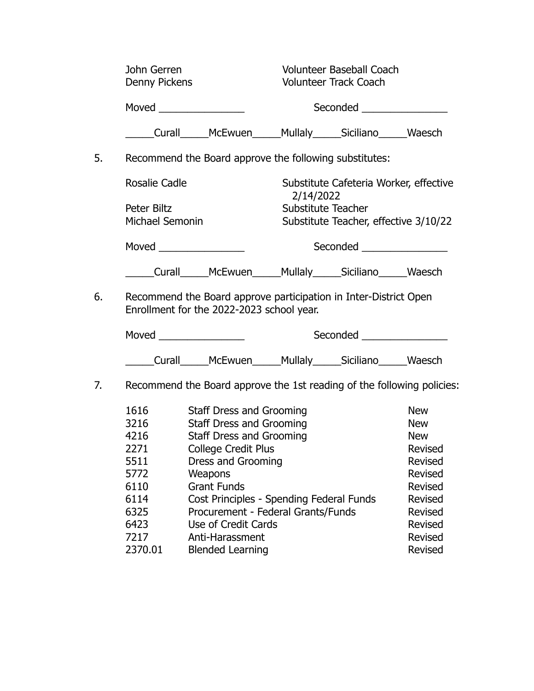|    | John Gerren<br><b>Denny Pickens</b> |                                                                                                               |                                 | <b>Volunteer Baseball Coach</b><br><b>Volunteer Track Coach</b> |                |
|----|-------------------------------------|---------------------------------------------------------------------------------------------------------------|---------------------------------|-----------------------------------------------------------------|----------------|
|    |                                     |                                                                                                               |                                 |                                                                 |                |
|    |                                     | Moved $\_\_$                                                                                                  |                                 | Seconded ________________                                       |                |
|    |                                     | _____Curall______McEwuen______Mullaly______Siciliano______Waesch                                              |                                 |                                                                 |                |
| 5. |                                     | Recommend the Board approve the following substitutes:                                                        |                                 |                                                                 |                |
|    | <b>Rosalie Cadle</b>                |                                                                                                               |                                 | Substitute Cafeteria Worker, effective                          |                |
|    | Peter Biltz                         |                                                                                                               | 2/14/2022<br>Substitute Teacher |                                                                 |                |
|    | <b>Michael Semonin</b>              |                                                                                                               |                                 | Substitute Teacher, effective 3/10/22                           |                |
|    |                                     |                                                                                                               |                                 | Seconded <u>Seconded</u>                                        |                |
|    |                                     | _____Curall______McEwuen______Mullaly______Siciliano______Waesch                                              |                                 |                                                                 |                |
| 6. |                                     | Recommend the Board approve participation in Inter-District Open<br>Enrollment for the 2022-2023 school year. |                                 |                                                                 |                |
|    |                                     | Moved _________________                                                                                       |                                 | Seconded ________________                                       |                |
|    |                                     | ____Curall_____McEwuen_____Mullaly_____Siciliano_____Waesch                                                   |                                 |                                                                 |                |
| 7. |                                     | Recommend the Board approve the 1st reading of the following policies:                                        |                                 |                                                                 |                |
|    | 1616                                | <b>Staff Dress and Grooming</b>                                                                               |                                 |                                                                 | <b>New</b>     |
|    | 3216                                | <b>Staff Dress and Grooming</b>                                                                               |                                 |                                                                 | <b>New</b>     |
|    | 4216                                | <b>Staff Dress and Grooming</b>                                                                               |                                 |                                                                 | <b>New</b>     |
|    | 2271                                | <b>College Credit Plus</b>                                                                                    |                                 |                                                                 | Revised        |
|    | 5511                                | Dress and Grooming                                                                                            |                                 |                                                                 | <b>Revised</b> |
|    | 5772                                | Weapons                                                                                                       |                                 |                                                                 | <b>Revised</b> |
|    | 6110                                | <b>Grant Funds</b>                                                                                            |                                 |                                                                 | Revised        |
|    | 6114                                | Cost Principles - Spending Federal Funds                                                                      |                                 |                                                                 | Revised        |
|    | 6325                                | Procurement - Federal Grants/Funds                                                                            |                                 |                                                                 | Revised        |
|    | 6423                                | Use of Credit Cards                                                                                           |                                 |                                                                 | <b>Revised</b> |
|    | 7217                                | Anti-Harassment                                                                                               |                                 |                                                                 | Revised        |

2370.01 Blended Learning **Revised**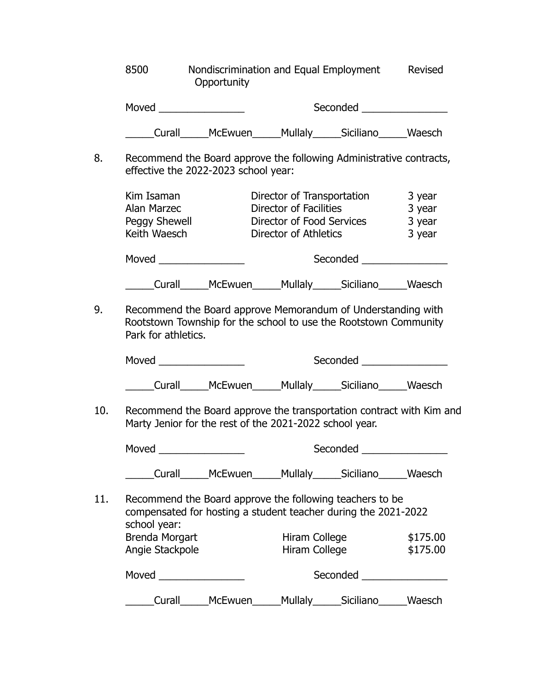|     | 8500                                                                                                                                                    | Nondiscrimination and Equal Employment Revised<br>Opportunity                                                                   |                                                        |                                                         |                                      |
|-----|---------------------------------------------------------------------------------------------------------------------------------------------------------|---------------------------------------------------------------------------------------------------------------------------------|--------------------------------------------------------|---------------------------------------------------------|--------------------------------------|
|     |                                                                                                                                                         |                                                                                                                                 |                                                        | Seconded ________________                               |                                      |
|     |                                                                                                                                                         | ____Curall______McEwuen______Mullaly______Siciliano______Waesch                                                                 |                                                        |                                                         |                                      |
| 8.  |                                                                                                                                                         | Recommend the Board approve the following Administrative contracts,<br>effective the 2022-2023 school year:                     |                                                        |                                                         |                                      |
|     | Kim Isaman<br><b>Alan Marzec</b><br>Peggy Shewell<br>Keith Waesch                                                                                       |                                                                                                                                 | Director of Facilities<br><b>Director of Athletics</b> | Director of Transportation<br>Director of Food Services | 3 year<br>3 year<br>3 year<br>3 year |
|     |                                                                                                                                                         |                                                                                                                                 |                                                        | Seconded <u>Seconded</u>                                |                                      |
|     |                                                                                                                                                         | ____Curall______McEwuen______Mullaly______Siciliano______Waesch                                                                 |                                                        |                                                         |                                      |
| 9.  | Recommend the Board approve Memorandum of Understanding with<br>Rootstown Township for the school to use the Rootstown Community<br>Park for athletics. |                                                                                                                                 |                                                        |                                                         |                                      |
|     | Moved ____________________                                                                                                                              |                                                                                                                                 |                                                        | Seconded __________________                             |                                      |
|     |                                                                                                                                                         | _____Curall______McEwuen______Mullaly______Siciliano______Waesch                                                                |                                                        |                                                         |                                      |
| 10. |                                                                                                                                                         | Recommend the Board approve the transportation contract with Kim and<br>Marty Jenior for the rest of the 2021-2022 school year. |                                                        |                                                         |                                      |
|     | Moved                                                                                                                                                   |                                                                                                                                 |                                                        | Seconded                                                |                                      |
|     |                                                                                                                                                         | ____Curall______McEwuen______Mullaly______Siciliano______Waesch                                                                 |                                                        |                                                         |                                      |
| 11. | school year:                                                                                                                                            | Recommend the Board approve the following teachers to be<br>compensated for hosting a student teacher during the 2021-2022      |                                                        |                                                         |                                      |
|     | <b>Brenda Morgart</b>                                                                                                                                   |                                                                                                                                 | Hiram College                                          |                                                         | \$175.00                             |
|     | Angie Stackpole                                                                                                                                         |                                                                                                                                 | Hiram College                                          |                                                         | \$175.00                             |
|     |                                                                                                                                                         |                                                                                                                                 |                                                        | Seconded ________________                               |                                      |
|     |                                                                                                                                                         | Curall______McEwuen______Mullaly______Siciliano______Waesch                                                                     |                                                        |                                                         |                                      |